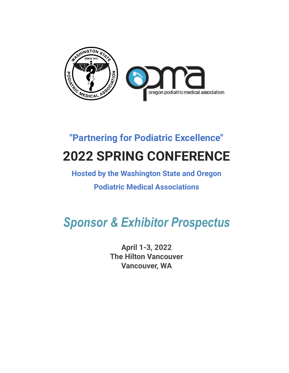

# **"Partnering for Podiatric Excellence" 2022 SPRING CONFERENCE**

# **Hosted by the Washington State and Oregon**

### **Podiatric Medical Associations**

# *Sponsor & Exhibitor Prospectus*

**April 1-3, 2022 The Hilton Vancouver Vancouver, WA**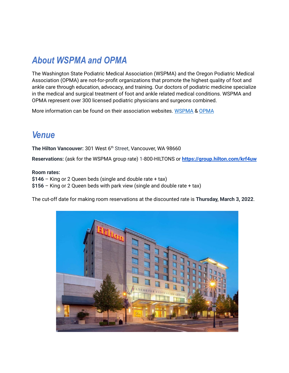### *About WSPMA and OPMA*

The Washington State Podiatric Medical Association (WSPMA) and the Oregon Podiatric Medical Association (OPMA) are not-for-profit organizations that promote the highest quality of foot and ankle care through education, advocacy, and training. Our doctors of podiatric medicine specialize in the medical and surgical treatment of foot and ankle related medical conditions. WSPMA and OPMA represent over 300 licensed podiatric physicians and surgeons combined.

More information can be found on their association websites. [WSPMA](https://www.wspma.org/) & [OPMA](https://opmatoday.com/)

### *Venue*

**The Hilton Vancouver:** 301 West 6 th Street, Vancouver, WA 98660

**Reservations:** (ask for the WSPMA group rate) 1-800-HILTONS or **<https://group.hilton.com/krf4uw>**

#### **Room rates:**

**\$146** – King or 2 Queen beds (single and double rate + tax)

**\$156** – King or 2 Queen beds with park view (single and double rate + tax)

The cut-off date for making room reservations at the discounted rate is **Thursday, March 3, 2022**.

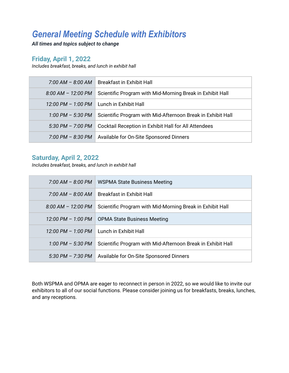### *General Meeting Schedule with Exhibitors*

*All times and topics subject to change*

### **Friday, April 1, 2022**

*Includes breakfast, breaks, and lunch in exhibit hall*

|                        | 7:00 AM - 8:00 AM   Breakfast in Exhibit Hall               |  |
|------------------------|-------------------------------------------------------------|--|
| $8:00$ AM $-$ 12:00 PM | Scientific Program with Mid-Morning Break in Exhibit Hall   |  |
|                        | 12:00 PM $-$ 1:00 PM $\parallel$ Lunch in Exhibit Hall      |  |
| 1:00 PM $-$ 5:30 PM    | Scientific Program with Mid-Afternoon Break in Exhibit Hall |  |
| $5:30$ PM $- 7:00$ PM  | Cocktail Reception in Exhibit Hall for All Attendees        |  |
| 7:00 PM – 8:30 PM      | Available for On-Site Sponsored Dinners                     |  |

#### **Saturday, April 2, 2022**

*Includes breakfast, breaks, and lunch in exhibit hall*

| $7:00$ AM $-$ 8:00 PM                   | WSPMA State Business Meeting                                |
|-----------------------------------------|-------------------------------------------------------------|
| $7:00 \, \text{AM} - 8:00 \, \text{AM}$ | <b>Breakfast in Exhibit Hall</b>                            |
| $8.00$ AM $-$ 12:00 PM                  | Scientific Program with Mid-Morning Break in Exhibit Hall   |
| 12:00 PM - 1:00 PM                      | <b>OPMA State Business Meeting</b>                          |
| 12:00 PM - 1:00 PM                      | Lunch in Exhibit Hall                                       |
| $1:00 \, \text{PM} - 5:30 \, \text{PM}$ | Scientific Program with Mid-Afternoon Break in Exhibit Hall |
| $5:30 \, \text{PM} - 7:30 \, \text{PM}$ | Available for On-Site Sponsored Dinners                     |

Both WSPMA and OPMA are eager to reconnect in person in 2022, so we would like to invite our exhibitors to all of our social functions. Please consider joining us for breakfasts, breaks, lunches, and any receptions.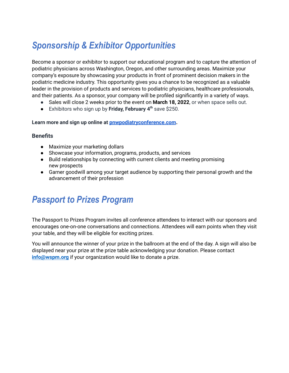# *Sponsorship & Exhibitor Opportunities*

Become a sponsor or exhibitor to support our educational program and to capture the attention of podiatric physicians across Washington, Oregon, and other surrounding areas. Maximize your company's exposure by showcasing your products in front of prominent decision makers in the podiatric medicine industry. This opportunity gives you a chance to be recognized as a valuable leader in the provision of products and services to podiatric physicians, healthcare professionals, and their patients. As a sponsor, your company will be profiled significantly in a variety of ways.

- Sales will close 2 weeks prior to the event on **March 18, 2022**, or when space sells out.
- Exhibitors who sign up by **Friday, February 4 th** save \$250.

**Learn more and sign up online at [pnwpodiatryconference.com](http://pnwpodiatryconference.com/).**

#### **Benefits**

- Maximize your marketing dollars
- Showcase your information, programs, products, and services
- Build relationships by connecting with current clients and meeting promising new prospects
- Garner goodwill among your target audience by supporting their personal growth and the advancement of their profession

### *Passport to Prizes Program*

The Passport to Prizes Program invites all conference attendees to interact with our sponsors and encourages one-on-one conversations and connections. Attendees will earn points when they visit your table, and they will be eligible for exciting prizes.

You will announce the winner of your prize in the ballroom at the end of the day. A sign will also be displayed near your prize at the prize table acknowledging your donation. Please contact **[info@wspm.org](mailto:info@wspm.org)** if your organization would like to donate a prize.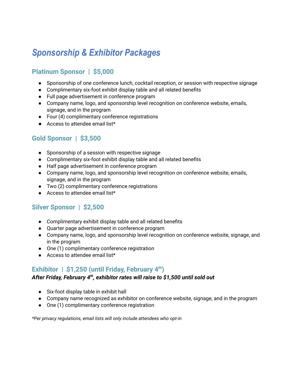# *Sponsorship & Exhibitor Packages*

### **Platinum Sponsor | \$5,000**

- Sponsorship of one conference lunch, cocktail reception, or session with respective signage
- Complimentary six-foot exhibit display table and all related benefits
- Full page advertisement in conference program
- Company name, logo, and sponsorship level recognition on conference website, emails, signage, and in the program
- Four (4) complimentary conference registrations
- Access to attendee email list\*

### **Gold Sponsor | \$3,500**

- Sponsorship of a session with respective signage
- Complimentary six-foot exhibit display table and all related benefits
- Half page advertisement in conference program
- Company name, logo, and sponsorship level recognition on conference website, emails, signage, and in the program
- Two (2) complimentary conference registrations
- Access to attendee email list<sup>\*</sup>

#### **Silver Sponsor | \$2,500**

- Complimentary exhibit display table and all related benefits
- Quarter page advertisement in conference program
- Company name, logo, and sponsorship level recognition on conference website, signage, and in the program
- One (1) complimentary conference registration
- Access to attendee email list\*

### **Exhibitor | \$1,250 (until Friday, February 4 th )**

#### *After Friday, February 4th , exhibitor rates will raise to \$1,500 until sold out*

- Six-foot display table in exhibit hall
- Company name recognized as exhibitor on conference website, signage, and in the program
- One (1) complimentary conference registration

*\*Per privacy regulations, email lists will only include attendees who opt-in*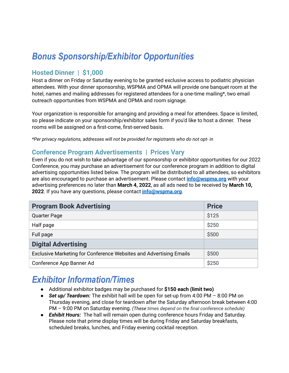# *Bonus Sponsorship/Exhibitor Opportunities*

### **Hosted Dinner | \$1,000**

Host a dinner on Friday or Saturday evening to be granted exclusive access to podiatric physician attendees. With your dinner sponsorship, WSPMA and OPMA will provide one banquet room at the hotel, names and mailing addresses for registered attendees for a one-time mailing\*, two email outreach opportunities from WSPMA and OPMA and room signage.

Your organization is responsible for arranging and providing a meal for attendees. Space is limited, so please indicate on your sponsorship/exhibitor sales form if you'd like to host a dinner. These rooms will be assigned on a first-come, first-served basis.

*\*Per privacy regulations, addresses will not be provided for registrants who do not opt- in*

#### **Conference Program Advertisements | Prices Vary**

Even if you do not wish to take advantage of our sponsorship or exhibitor opportunities for our 2022 Conference, you may purchase an advertisement for our conference program in addition to digital advertising opportunities listed below. The program will be distributed to all attendees, so exhibitors are also encouraged to purchase an advertisement. Please contact **[info@wspma.org](mailto:info@wspma.org)** with your advertising preferences no later than **March 4, 2022**, as all ads need to be received by **March 10, 2022**. If you have any questions, please contact **[info@wspma.org](mailto:info@wspma.org)**.

| <b>Program Book Advertising</b>                                    | <b>Price</b> |
|--------------------------------------------------------------------|--------------|
| <b>Quarter Page</b>                                                | \$125        |
| Half page                                                          | \$250        |
| Full page                                                          | \$500        |
| <b>Digital Advertising</b>                                         |              |
| Exclusive Marketing for Conference Websites and Advertising Emails | \$500        |
| Conference App Banner Ad                                           | \$250        |

### *Exhibitor Information/Times*

- Additional exhibitor badges may be purchased for **\$150 each (limit two)**
- *Set up/ Teardown:* The exhibit hall will be open for set-up from 4:00 PM 8:00 PM on Thursday evening, and close for teardown after the Saturday afternoon break between 4:00 PM – 9:00 PM on Saturday evening. *(These times depend on the final conference schedule)*
- *Exhibit Hours:* The hall will remain open during conference hours Friday and Saturday. Please note that prime display times will be during Friday and Saturday breakfasts, scheduled breaks, lunches, and Friday evening cocktail reception.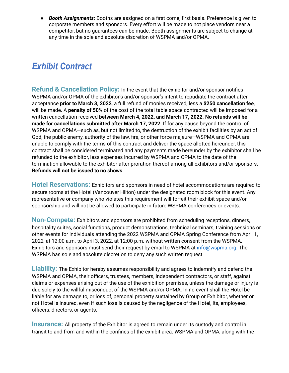● *Booth Assignments:* Booths are assigned on a first come, first basis. Preference is given to corporate members and sponsors. Every effort will be made to not place vendors near a competitor, but no guarantees can be made. Booth assignments are subject to change at any time in the sole and absolute discretion of WSPMA and/or OPMA.

# *Exhibit Contract*

**Refund & Cancellation Policy:** In the event that the exhibitor and/or sponsor notifies WSPMA and/or OPMA of the exhibitor's and/or sponsor's intent to repudiate the contract after acceptance **prior to March 3, 2022**, a full refund of monies received, less a **\$250 cancellation fee**, will be made. A **penalty of 50%** of the cost of the total table space contracted will be imposed for a written cancellation received **between March 4, 2022, and March 17, 2022**. **No refunds will be made for cancellations submitted after March 17, 2022**. If for any cause beyond the control of WSPMA and OPMA—such as, but not limited to, the destruction of the exhibit facilities by an act of God, the public enemy, authority of the law, fire, or other force majeure—WSPMA and OPMA are unable to comply with the terms of this contract and deliver the space allotted hereunder, this contract shall be considered terminated and any payments made hereunder by the exhibitor shall be refunded to the exhibitor, less expenses incurred by WSPMA and OPMA to the date of the termination allowable to the exhibitor after proration thereof among all exhibitors and/or sponsors. **Refunds will not be issued to no shows**.

**Hotel Reservations:** Exhibitors and sponsors in need of hotel accommodations are required to secure rooms at the Hotel (Vancouver Hilton) under the designated room block for this event. Any representative or company who violates this requirement will forfeit their exhibit space and/or sponsorship and will not be allowed to participate in future WSPMA conferences or events.

**Non-Compete:** Exhibitors and sponsors are prohibited from scheduling receptions, dinners, hospitality suites, social functions, product demonstrations, technical seminars, training sessions or other events for individuals attending the 2022 WSPMA and OPMA Spring Conference from April 1, 2022, at 12:00 a.m. to April 3, 2022, at 12:00 p.m. without written consent from the WSPMA. Exhibitors and sponsors must send their request by email to WSPMA at [info@wspma.org.](mailto:info@wspma.org) The WSPMA has sole and absolute discretion to deny any such written request.

**Liability:** The Exhibitor hereby assumes responsibility and agrees to indemnify and defend the WSPMA and OPMA, their officers, trustees, members, independent contractors, or staff, against claims or expenses arising out of the use of the exhibition premises, unless the damage or injury is due solely to the willful misconduct of the WSPMA and/or OPMA. In no event shall the Hotel be liable for any damage to, or loss of, personal property sustained by Group or Exhibitor, whether or not Hotel is insured, even if such loss is caused by the negligence of the Hotel, its, employees, officers, directors, or agents.

**Insurance:** All property of the Exhibitor is agreed to remain under its custody and control in transit to and from and within the confines of the exhibit area. WSPMA and OPMA, along with the